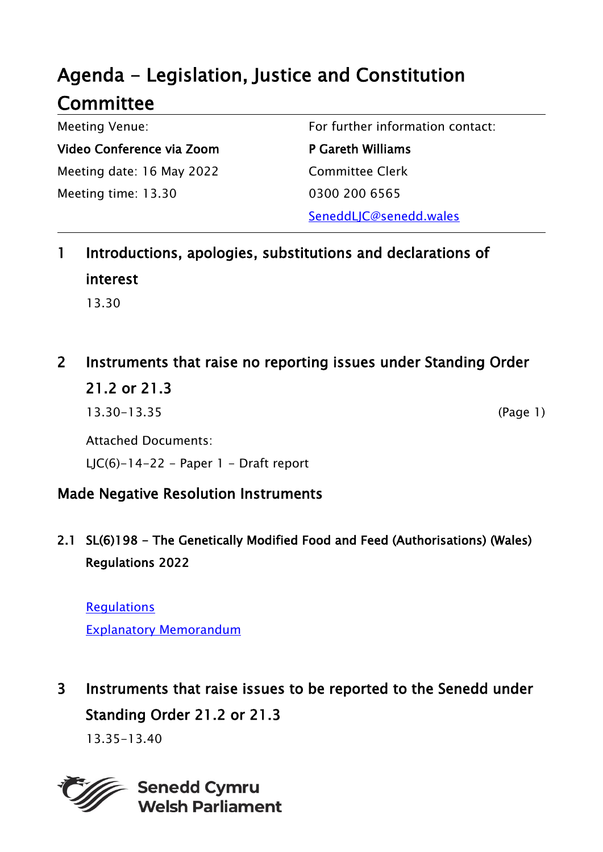# Agenda - Legislation, Justice and Constitution **Committee**

Meeting Venue: Video Conference via Zoom Meeting date: 16 May 2022 Meeting time: 13.30

For further information contact:

P Gareth Williams Committee Clerk 0300 200 6565

SeneddLJC@senedd.wales

### 1 Introductions, apologies, substitutions and declarations of interest 13.30

## 2 Instruments that raise no reporting issues under Standing Order 21.2 or 21.3

13.30-13.35 (Page 1)

Attached Documents: LJC(6)-14-22 - Paper  $1$  - Draft report

### Made Negative Resolution Instruments

2.1 SL(6)198 - The Genetically Modified Food and Feed (Authorisations) (Wales) Regulations 2022

**[Regulations](https://senedd.wales/media/25pd2bt1/sub-ld15101-e.pdf)** [Explanatory Memorandum](https://senedd.wales/media/x3qbgf42/sub-ld15101-em-e.pdf)

## 3 Instruments that raise issues to be reported to the Senedd under Standing Order 21.2 or 21.3

13.35-13.40



**Senedd Cymru Welsh Parliament**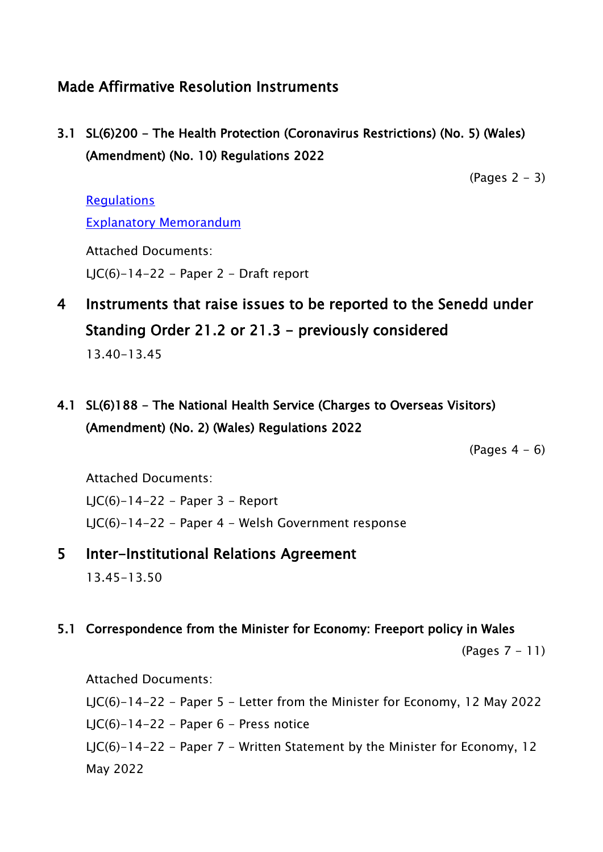### Made Affirmative Resolution Instruments

3.1 SL(6)200 - The Health Protection (Coronavirus Restrictions) (No. 5) (Wales) (Amendment) (No. 10) Regulations 2022

 $(Paqes 2 - 3)$ 

#### **[Regulations](https://senedd.wales/media/3jfh1gzr/sub-ld15106-e.pdf)** [Explanatory Memorandum](https://senedd.wales/media/y1dnkcu0/sub-ld15106-em-e.pdf)

Attached Documents: LJC(6)-14-22 - Paper 2 - Draft report

4 Instruments that raise issues to be reported to the Senedd under Standing Order 21.2 or 21.3 - previously considered

13.40-13.45

4.1 SL(6)188 - The National Health Service (Charges to Overseas Visitors) (Amendment) (No. 2) (Wales) Regulations 2022

 $(Pages 4 - 6)$ 

Attached Documents:

LJC(6)-14-22 - Paper 3 - Report

LJC(6)-14-22 - Paper 4 - Welsh Government response

5 Inter-Institutional Relations Agreement

13.45-13.50

#### 5.1 Correspondence from the Minister for Economy: Freeport policy in Wales

(Pages 7 - 11)

Attached Documents:

LJC(6)-14-22 - Paper 5 - Letter from the Minister for Economy, 12 May 2022 LJC(6)-14-22 - Paper  $6$  - Press notice

LJC(6)-14-22 - Paper 7 - Written Statement by the Minister for Economy, 12 May 2022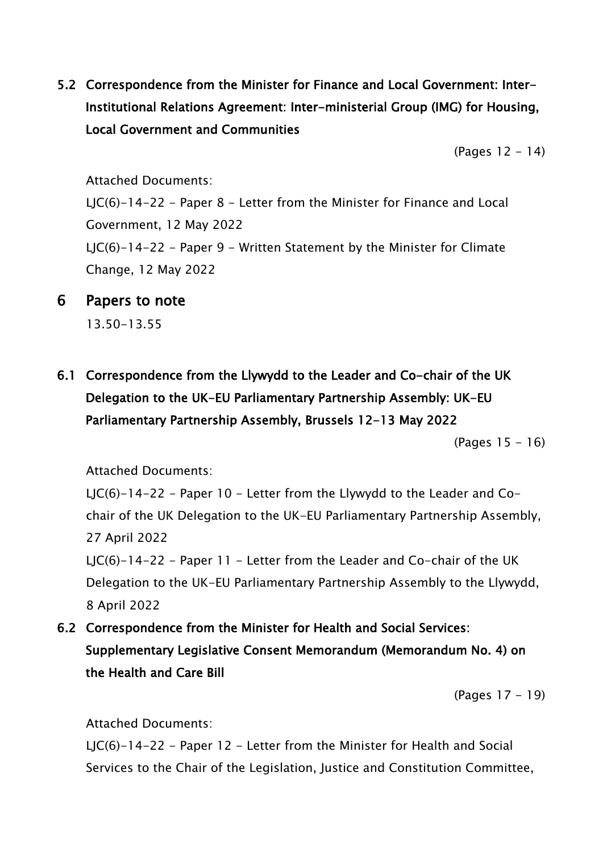5.2 Correspondence from the Minister for Finance and Local Government: Inter-Institutional Relations Agreement: Inter-ministerial Group (IMG) for Housing, Local Government and Communities

(Pages 12 - 14)

Attached Documents:

LJC(6)-14-22 - Paper 8 - Letter from the Minister for Finance and Local Government, 12 May 2022 LJC(6)-14-22 - Paper 9 - Written Statement by the Minister for Climate Change, 12 May 2022

6 Papers to note

13.50-13.55

6.1 Correspondence from the Llywydd to the Leader and Co-chair of the UK Delegation to the UK-EU Parliamentary Partnership Assembly: UK-EU Parliamentary Partnership Assembly, Brussels 12-13 May 2022

(Pages 15 - 16)

Attached Documents:

LJC(6)-14-22 - Paper 10 - Letter from the Llywydd to the Leader and Cochair of the UK Delegation to the UK-EU Parliamentary Partnership Assembly, 27 April 2022 LJC(6)-14-22 - Paper 11 - Letter from the Leader and Co-chair of the UK

Delegation to the UK-EU Parliamentary Partnership Assembly to the Llywydd, 8 April 2022

6.2 Correspondence from the Minister for Health and Social Services: Supplementary Legislative Consent Memorandum (Memorandum No. 4) on the Health and Care Bill

(Pages 17 - 19)

Attached Documents:

LJC(6)-14-22 - Paper 12 - Letter from the Minister for Health and Social Services to the Chair of the Legislation, Justice and Constitution Committee,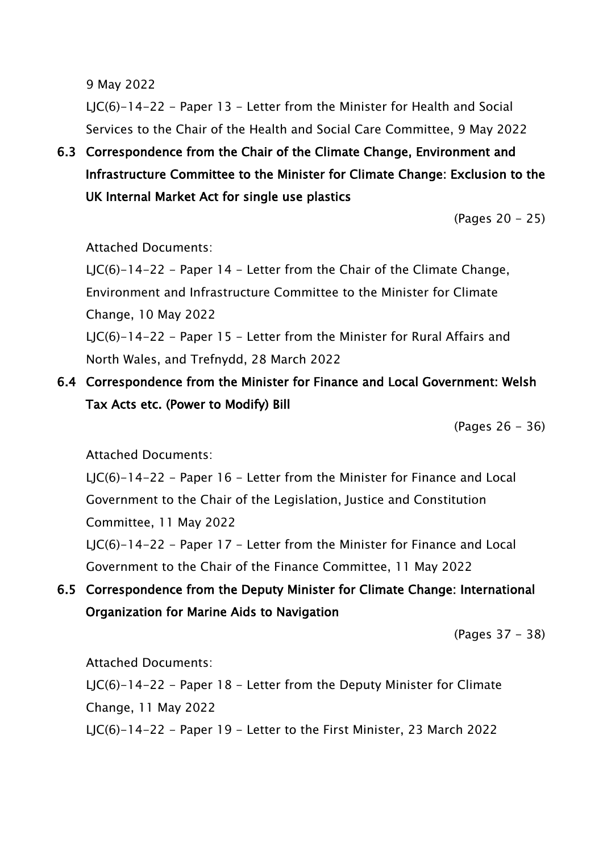9 May 2022

LJC(6)-14-22 - Paper 13 - Letter from the Minister for Health and Social Services to the Chair of the Health and Social Care Committee, 9 May 2022

6.3 Correspondence from the Chair of the Climate Change, Environment and Infrastructure Committee to the Minister for Climate Change: Exclusion to the UK Internal Market Act for single use plastics

(Pages 20 - 25)

#### Attached Documents:

LJC(6)-14-22 - Paper 14 - Letter from the Chair of the Climate Change, Environment and Infrastructure Committee to the Minister for Climate Change, 10 May 2022

LJC(6)-14-22 - Paper 15 - Letter from the Minister for Rural Affairs and North Wales, and Trefnydd, 28 March 2022

6.4 Correspondence from the Minister for Finance and Local Government: Welsh Tax Acts etc. (Power to Modify) Bill

(Pages 26 - 36)

Attached Documents:

LJC(6)-14-22 - Paper 16 - Letter from the Minister for Finance and Local Government to the Chair of the Legislation, Justice and Constitution Committee, 11 May 2022 LJC(6)-14-22 - Paper 17 - Letter from the Minister for Finance and Local

Government to the Chair of the Finance Committee, 11 May 2022

6.5 Correspondence from the Deputy Minister for Climate Change: International Organization for Marine Aids to Navigation

(Pages 37 - 38)

Attached Documents:

LJC(6)-14-22 - Paper 18 - Letter from the Deputy Minister for Climate Change, 11 May 2022 LJC(6)-14-22 - Paper 19 - Letter to the First Minister, 23 March 2022